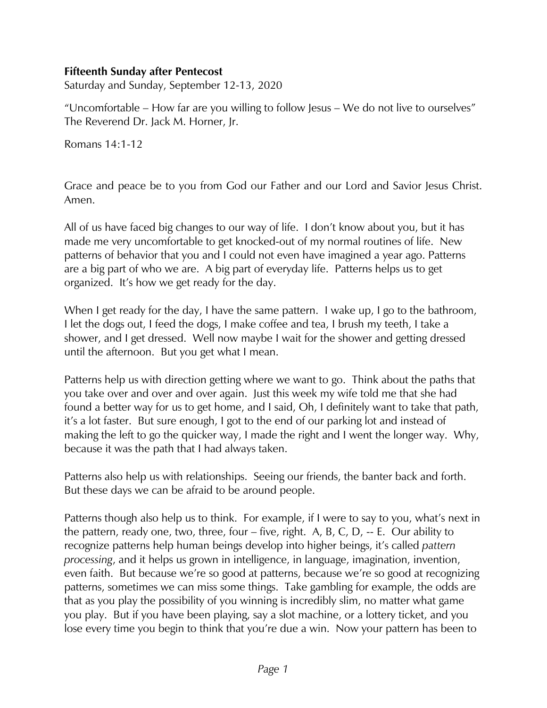## **Fifteenth Sunday after Pentecost**

Saturday and Sunday, September 12-13, 2020

"Uncomfortable – How far are you willing to follow Jesus – We do not live to ourselves" The Reverend Dr. Jack M. Horner, Jr.

Romans 14:1-12

Grace and peace be to you from God our Father and our Lord and Savior Jesus Christ. Amen.

All of us have faced big changes to our way of life. I don't know about you, but it has made me very uncomfortable to get knocked-out of my normal routines of life. New patterns of behavior that you and I could not even have imagined a year ago. Patterns are a big part of who we are. A big part of everyday life. Patterns helps us to get organized. It's how we get ready for the day.

When I get ready for the day, I have the same pattern. I wake up, I go to the bathroom, I let the dogs out, I feed the dogs, I make coffee and tea, I brush my teeth, I take a shower, and I get dressed. Well now maybe I wait for the shower and getting dressed until the afternoon. But you get what I mean.

Patterns help us with direction getting where we want to go. Think about the paths that you take over and over and over again. Just this week my wife told me that she had found a better way for us to get home, and I said, Oh, I definitely want to take that path, it's a lot faster. But sure enough, I got to the end of our parking lot and instead of making the left to go the quicker way, I made the right and I went the longer way. Why, because it was the path that I had always taken.

Patterns also help us with relationships. Seeing our friends, the banter back and forth. But these days we can be afraid to be around people.

Patterns though also help us to think. For example, if I were to say to you, what's next in the pattern, ready one, two, three, four – five, right. A, B, C, D, -- E. Our ability to recognize patterns help human beings develop into higher beings, it's called *pattern processing*, and it helps us grown in intelligence, in language, imagination, invention, even faith. But because we're so good at patterns, because we're so good at recognizing patterns, sometimes we can miss some things. Take gambling for example, the odds are that as you play the possibility of you winning is incredibly slim, no matter what game you play. But if you have been playing, say a slot machine, or a lottery ticket, and you lose every time you begin to think that you're due a win. Now your pattern has been to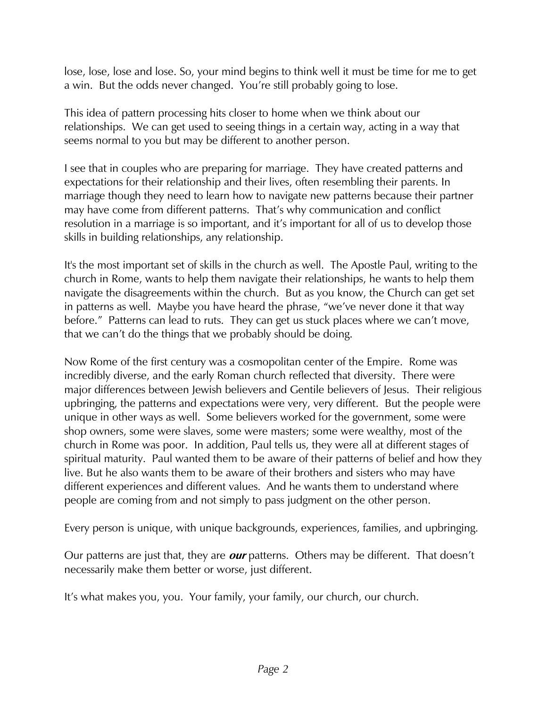lose, lose, lose and lose. So, your mind begins to think well it must be time for me to get a win. But the odds never changed. You're still probably going to lose.

This idea of pattern processing hits closer to home when we think about our relationships. We can get used to seeing things in a certain way, acting in a way that seems normal to you but may be different to another person.

I see that in couples who are preparing for marriage. They have created patterns and expectations for their relationship and their lives, often resembling their parents. In marriage though they need to learn how to navigate new patterns because their partner may have come from different patterns. That's why communication and conflict resolution in a marriage is so important, and it's important for all of us to develop those skills in building relationships, any relationship.

It's the most important set of skills in the church as well. The Apostle Paul, writing to the church in Rome, wants to help them navigate their relationships, he wants to help them navigate the disagreements within the church. But as you know, the Church can get set in patterns as well. Maybe you have heard the phrase, "we've never done it that way before." Patterns can lead to ruts. They can get us stuck places where we can't move, that we can't do the things that we probably should be doing.

Now Rome of the first century was a cosmopolitan center of the Empire. Rome was incredibly diverse, and the early Roman church reflected that diversity. There were major differences between Jewish believers and Gentile believers of Jesus. Their religious upbringing, the patterns and expectations were very, very different. But the people were unique in other ways as well. Some believers worked for the government, some were shop owners, some were slaves, some were masters; some were wealthy, most of the church in Rome was poor. In addition, Paul tells us, they were all at different stages of spiritual maturity. Paul wanted them to be aware of their patterns of belief and how they live. But he also wants them to be aware of their brothers and sisters who may have different experiences and different values. And he wants them to understand where people are coming from and not simply to pass judgment on the other person.

Every person is unique, with unique backgrounds, experiences, families, and upbringing.

Our patterns are just that, they are **our** patterns. Others may be different. That doesn't necessarily make them better or worse, just different.

It's what makes you, you. Your family, your family, our church, our church.